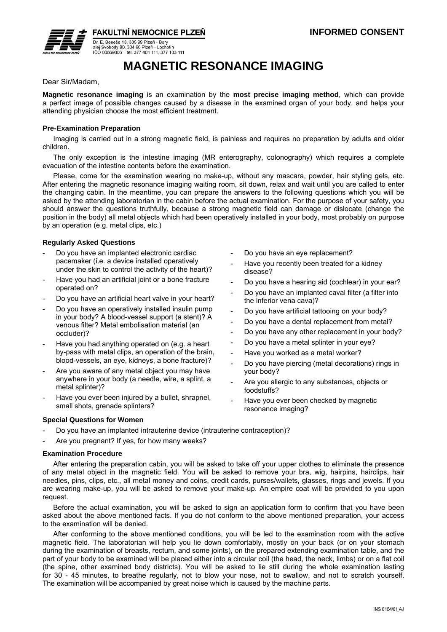

**FAKULTNÍ NEMOCNICE PLZEŇ** 

Dr. E. Beneše 13, 305 99 Plzeň - Bory Dr. E. Benese 13, 303 99 Pizeli - Bory<br>alej Svobody 80, 304 60 Pizeň - Lochotín<br>IČO 00669806 tel. 377 401 111. 377 103 111

# **MAGNETIC RESONANCE IMAGING**

Dear Sir/Madam,

**Magnetic resonance imaging** is an examination by the **most precise imaging method**, which can provide a perfect image of possible changes caused by a disease in the examined organ of your body, and helps your attending physician choose the most efficient treatment.

## **Pre-Examination Preparation**

Imaging is carried out in a strong magnetic field, is painless and requires no preparation by adults and older children.

The only exception is the intestine imaging (MR enterography, colonography) which requires a complete evacuation of the intestine contents before the examination.

Please, come for the examination wearing no make-up, without any mascara, powder, hair styling gels, etc. After entering the magnetic resonance imaging waiting room, sit down, relax and wait until you are called to enter the changing cabin. In the meantime, you can prepare the answers to the following questions which you will be asked by the attending laboratorian in the cabin before the actual examination. For the purpose of your safety, you should answer the questions truthfully, because a strong magnetic field can damage or dislocate (change the position in the body) all metal objects which had been operatively installed in your body, most probably on purpose by an operation (e.g. metal clips, etc.)

### **Regularly Asked Questions**

- Do you have an implanted electronic cardiac pacemaker (i.e. a device installed operatively under the skin to control the activity of the heart)?
- Have you had an artificial joint or a bone fracture operated on?
- Do you have an artificial heart valve in your heart?
- Do you have an operatively installed insulin pump in your body? A blood-vessel support (a stent)? A venous filter? Metal embolisation material (an occluder)?
- Have you had anything operated on (e.g. a heart by-pass with metal clips, an operation of the brain, blood-vessels, an eye, kidneys, a bone fracture)?
- Are you aware of any metal object you may have anywhere in your body (a needle, wire, a splint, a metal splinter)?
- Have you ever been injured by a bullet, shrapnel, small shots, grenade splinters?
- Do you have an eye replacement?
- Have you recently been treated for a kidney disease?
- Do you have a hearing aid (cochlear) in your ear?
- Do you have an implanted caval filter (a filter into the inferior vena cava)?
- Do you have artificial tattooing on your body?
- Do you have a dental replacement from metal?
- Do you have any other replacement in your body?
- Do you have a metal splinter in your eye?
- Have you worked as a metal worker?
- Do you have piercing (metal decorations) rings in your body?
- Are you allergic to any substances, objects or foodstuffs?
- Have you ever been checked by magnetic resonance imaging?

# **Special Questions for Women**

- Do you have an implanted intrauterine device (intrauterine contraception)?
- Are you pregnant? If yes, for how many weeks?

#### **Examination Procedure**

After entering the preparation cabin, you will be asked to take off your upper clothes to eliminate the presence of any metal object in the magnetic field. You will be asked to remove your bra, wig, hairpins, hairclips, hair needles, pins, clips, etc., all metal money and coins, credit cards, purses/wallets, glasses, rings and jewels. If you are wearing make-up, you will be asked to remove your make-up. An empire coat will be provided to you upon request.

Before the actual examination, you will be asked to sign an application form to confirm that you have been asked about the above mentioned facts. If you do not conform to the above mentioned preparation, your access to the examination will be denied.

After conforming to the above mentioned conditions, you will be led to the examination room with the active magnetic field. The laboratorian will help you lie down comfortably, mostly on your back (or on your stomach during the examination of breasts, rectum, and some joints), on the prepared extending examination table, and the part of your body to be examined will be placed either into a circular coil (the head, the neck, limbs) or on a flat coil (the spine, other examined body districts). You will be asked to lie still during the whole examination lasting for 30 - 45 minutes, to breathe regularly, not to blow your nose, not to swallow, and not to scratch yourself. The examination will be accompanied by great noise which is caused by the machine parts.